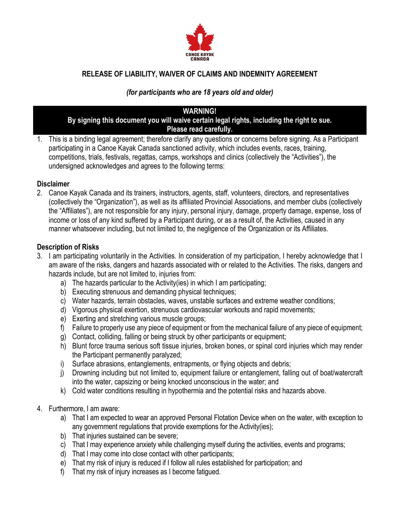

# **RELEASE OF LIABILITY, WAIVER OF CLAIMS AND INDEMNITY AGREEMENT**

# *(for participants who are 18 years old and older)*

## **WARNING!**

#### **By signing this document you will waive certain legal rights, including the right to sue. Please read carefully.**

1. This is a binding legal agreement; therefore clarify any questions or concerns before signing. As a Participant participating in a Canoe Kayak Canada sanctioned activity, which includes events, races, training, competitions, trials, festivals, regattas, camps, workshops and clinics (collectively the "Activities"), the undersigned acknowledges and agrees to the following terms:

#### **Disclaimer**

2. Canoe Kayak Canada and its trainers, instructors, agents, staff, volunteers, directors, and representatives (collectively the "Organization"), as well as its affiliated Provincial Associations, and member clubs (collectively the "Affiliates"), are not responsible for any injury, personal injury, damage, property damage, expense, loss of income or loss of any kind suffered by a Participant during, or as a result of, the Activities, caused in any manner whatsoever including, but not limited to, the negligence of the Organization or its Affiliates.

## **Description of Risks**

- 3. I am participating voluntarily in the Activities. In consideration of my participation, I hereby acknowledge that I am aware of the risks, dangers and hazards associated with or related to the Activities. The risks, dangers and hazards include, but are not limited to, injuries from:
	- a) The hazards particular to the Activity(ies) in which I am participating;
	- b) Executing strenuous and demanding physical techniques;
	- c) Water hazards, terrain obstacles, waves, unstable surfaces and extreme weather conditions;
	- d) Vigorous physical exertion, strenuous cardiovascular workouts and rapid movements;
	- e) Exerting and stretching various muscle groups;
	- f) Failure to properly use any piece of equipment or from the mechanical failure of any piece of equipment;
	- g) Contact, colliding, falling or being struck by other participants or equipment;
	- h) Blunt force trauma serious soft tissue injuries, broken bones, or spinal cord injuries which may render the Participant permanently paralyzed;
	- i) Surface abrasions, entanglements, entrapments, or flying objects and debris;
	- j) Drowning including but not limited to, equipment failure or entanglement, falling out of boat/watercraft into the water, capsizing or being knocked unconscious in the water; and
	- k) Cold water conditions resulting in hypothermia and the potential risks and hazards above.
- 4. Furthermore, I am aware:
	- a) That I am expected to wear an approved Personal Flotation Device when on the water, with exception to any government regulations that provide exemptions for the Activity(ies);
	- b) That injuries sustained can be severe;
	- c) That I may experience anxiety while challenging myself during the activities, events and programs;
	- d) That I may come into close contact with other participants;
	- e) That my risk of injury is reduced if I follow all rules established for participation; and
	- f) That my risk of injury increases as I become fatigued.